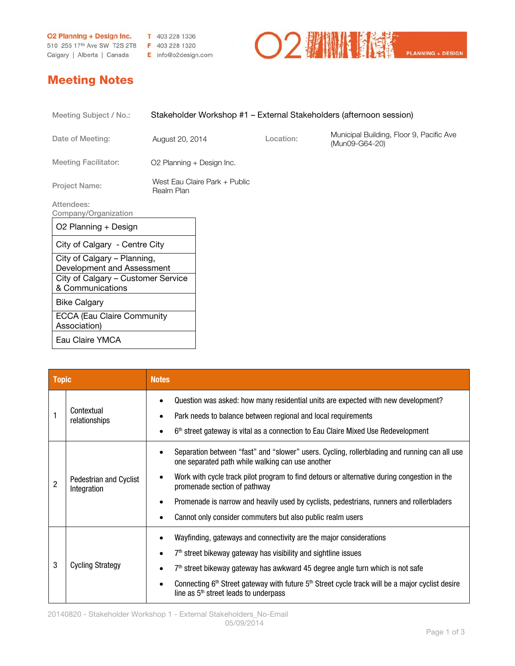**O2 Planning + Design Inc. T** 403 228 1336 510 255 17th Ave SW T2S 2T8 F 403 228 1320

Calgary | Alberta | Canada E info@o2design.com

## Meeting Notes

| Meeting Subject / No.:                                                                                              | Stakeholder Workshop #1 - External Stakeholders (afternoon session) |                               |           |                                                            |
|---------------------------------------------------------------------------------------------------------------------|---------------------------------------------------------------------|-------------------------------|-----------|------------------------------------------------------------|
| Date of Meeting:                                                                                                    | August 20, 2014                                                     |                               | Location: | Municipal Building, Floor 9, Pacific Ave<br>(Mun09-G64-20) |
| <b>Meeting Facilitator:</b>                                                                                         | O2 Planning + Design Inc.                                           |                               |           |                                                            |
| <b>Project Name:</b>                                                                                                | Realm Plan                                                          | West Fau Claire Park + Public |           |                                                            |
| Attendees:<br>Company/Organization                                                                                  |                                                                     |                               |           |                                                            |
| O2 Planning + Design                                                                                                |                                                                     |                               |           |                                                            |
| City of Calgary - Centre City                                                                                       |                                                                     |                               |           |                                                            |
| City of Calgary – Planning,<br>Development and Assessment<br>City of Calgary – Customer Service<br>& Communications |                                                                     |                               |           |                                                            |
| <b>Bike Calgary</b>                                                                                                 |                                                                     |                               |           |                                                            |
| <b>ECCA (Eau Claire Community)</b><br>Association)                                                                  |                                                                     |                               |           |                                                            |
| Eau Claire YMCA                                                                                                     |                                                                     |                               |           |                                                            |

| <b>Topic</b>   |                                       | <b>Notes</b>                                                                                                                                                                                                                                        |  |  |
|----------------|---------------------------------------|-----------------------------------------------------------------------------------------------------------------------------------------------------------------------------------------------------------------------------------------------------|--|--|
|                | Contextual<br>relationships           | Question was asked: how many residential units are expected with new development?<br>Park needs to balance between regional and local requirements<br>6 <sup>th</sup> street gateway is vital as a connection to Eau Claire Mixed Use Redevelopment |  |  |
| $\overline{2}$ | Pedestrian and Cyclist<br>Integration | Separation between "fast" and "slower" users. Cycling, rollerblading and running can all use<br>one separated path while walking can use another                                                                                                    |  |  |
|                |                                       | Work with cycle track pilot program to find detours or alternative during congestion in the<br>٠<br>promenade section of pathway                                                                                                                    |  |  |
|                |                                       | Promenade is narrow and heavily used by cyclists, pedestrians, runners and rollerbladers<br>٠                                                                                                                                                       |  |  |
|                |                                       | Cannot only consider commuters but also public realm users                                                                                                                                                                                          |  |  |
| 3              |                                       | Wayfinding, gateways and connectivity are the major considerations                                                                                                                                                                                  |  |  |
|                |                                       | $7th$ street bikeway gateway has visibility and sightline issues                                                                                                                                                                                    |  |  |
|                | <b>Cycling Strategy</b>               | $7th$ street bikeway gateway has awkward 45 degree angle turn which is not safe                                                                                                                                                                     |  |  |
|                |                                       | Connecting 6th Street gateway with future 5th Street cycle track will be a major cyclist desire<br>٠<br>line as $5th$ street leads to underpass                                                                                                     |  |  |